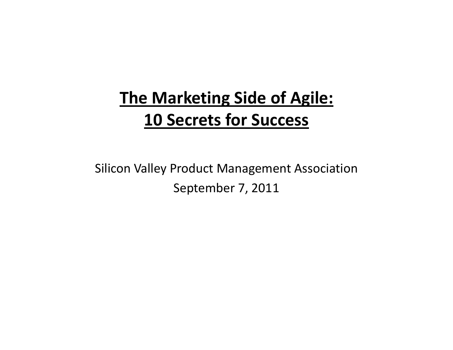## **The Marketing Side of Agile: 10 Secrets for Success**

Silicon Valley Product Management Association September 7, 2011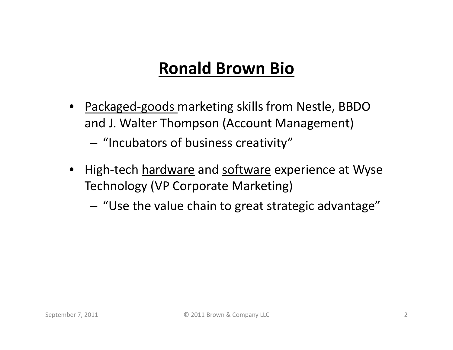### **Ronald Brown Bio**

- Packaged-goods marketing skills from Nestle, BBDO and J. Walter Thompson (Account Management)
	- – $-$  "Incubators of business creativity"  $\,$
- High-tech <u>hardware</u> and <u>software</u> experience at Wyse Technology (VP Corporate Marketing)
	- $-$  "Use the value chain to great strategic advantage"  $\,$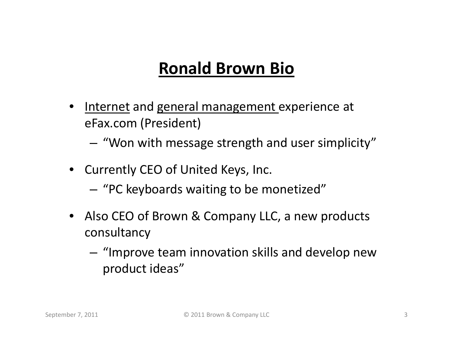### **Ronald Brown Bio**

- •Internet and general management experience at eFax.com (President)
	- – $-$  "Won with message strength and user simplicity"  $\,$
- Currently CEO of United Keys, Inc.
	- "PC keyboards waiting to be monetized"
- Also CEO of Brown & Company LLC, a new products consultancy
	- $-$  "Improve team innovation skills and develop new product ideas"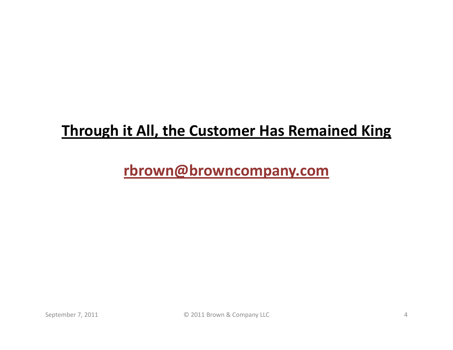#### **Through it All, the Customer Has Remained King**

#### **rbrown@browncompany.com**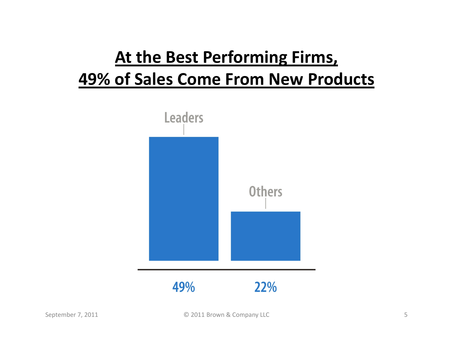# **At the Best Performing Firms, 49% of Sales Come From New Products**

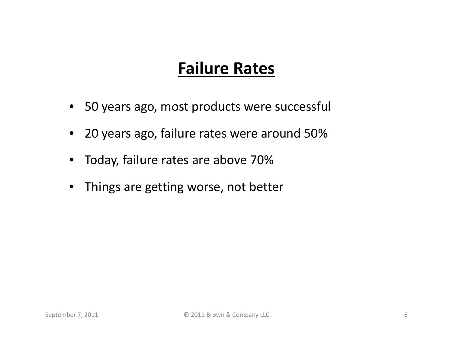#### **Failure Rates**

- 50 years ago, most products were successful
- 20 years ago, failure rates were around 50%
- •Today, failure rates are above 70%
- •Things are getting worse, not better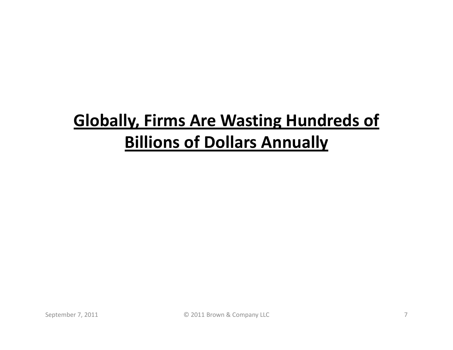## **Globally, Firms Are Wasting Hundreds of Billions of Dollars Annually**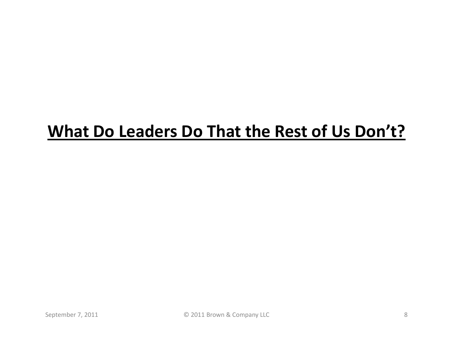### **What Do Leaders Do That the Rest of Us Don't?**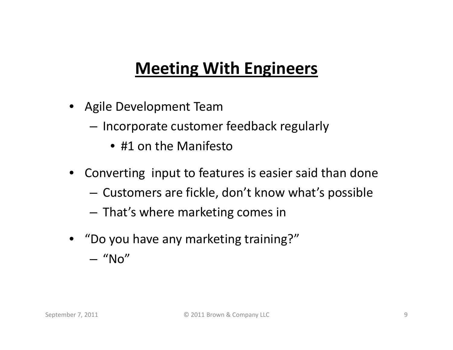### **Meeting With Engineers**

- Agile Development Team
	- $-$  Incorporate customer feedback regularly
		- #1 on the Manifesto
- Converting input to features is easier said than done
	- – $-$  Customers are fickle, don't know what's possible
	- – $-$  That's where marketing comes in
- "Do you have any marketing training?" – "No"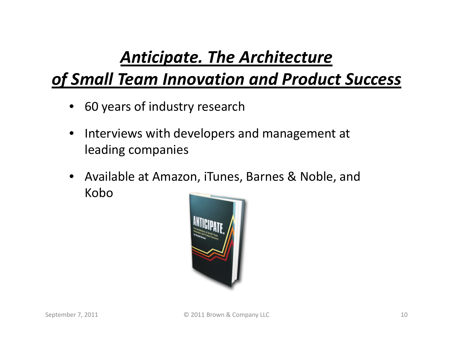## *Anticipate. The Architecture*

### *of Small Team Innovation and Product Success*

- 60 years of industry research
- $\bullet$  Interviews with developers and management at leading companies
- $\bullet$  Available at Amazon, iTunes, Barnes & Noble, and Kobo

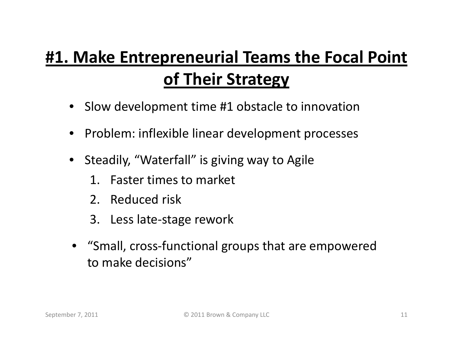## **#1. Make Entrepreneurial Teams the Focal Point of Their Strategy**

- Slow development time #1 obstacle to innovation
- Problem: inflexible linear development processes
- Steadily, "Waterfall" is giving way to Agile
	- 1. Faster times to market
	- 2. Reduced risk
	- 3. Less late-stage rework
- "Small, cross-functional groups that are empowered to make decisions"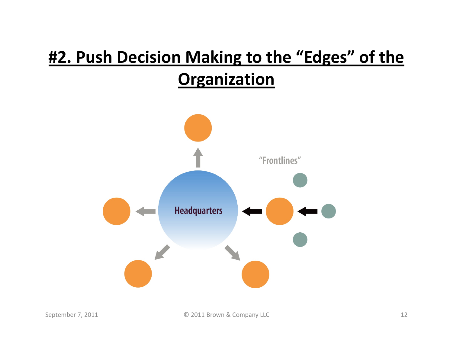## **#2. Push Decision Making to the "Edges" of the Organization**

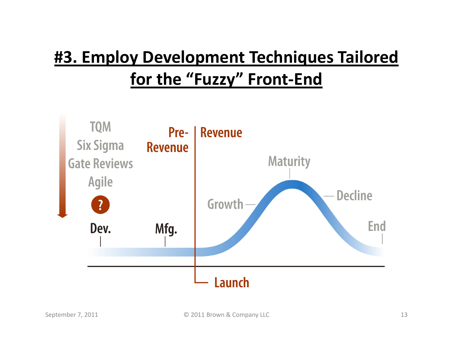## **#3. Employ Development Techniques Tailored for the "Fuzzy" Front-End**

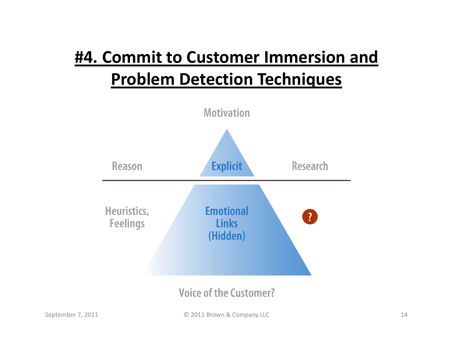# **#4. Commit to Customer Immersion and Problem Detection Techniques**

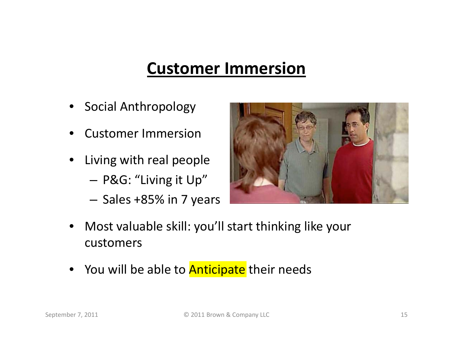#### **Customer Immersion**

- •Social Anthropology
- •Customer Immersion
- • Living with real people P&G: "Living it Up"
	- $-$  Sales +85% in 7 years



- • Most valuable skill: you'll start thinking like your customers
- You will be able to <mark>Anticipate</mark> their needs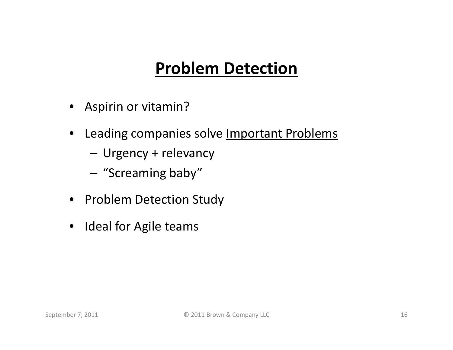### **Problem Detection**

- Aspirin or vitamin?
- $\bullet$ Leading companies solve Important Problems
	- –Urgency + relevancy
	- –"Screaming baby"
- Problem Detection Study
- Ideal for Agile teams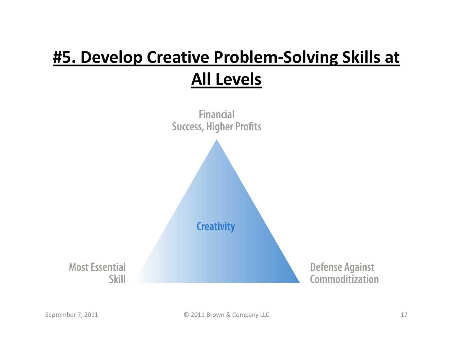## **#5. Develop Creative Problem-Solving Skills at All Levels**

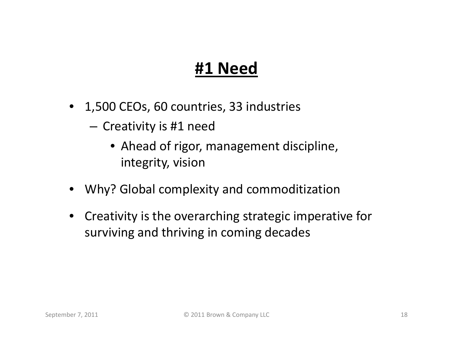### **#1 Need**

- 1,500 CEOs, 60 countries, 33 industries
	- $-$  Creativity is #1 need
		- Ahead of rigor, management discipline, integrity, vision
- Why? Global complexity and commoditization
- Creativity is the overarching strategic imperative for surviving and thriving in coming decades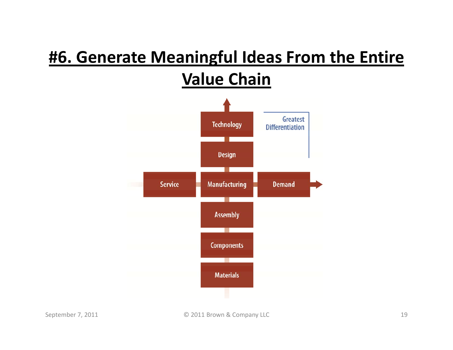### **#6. Generate Meaningful Ideas From the Entire Value Chain**

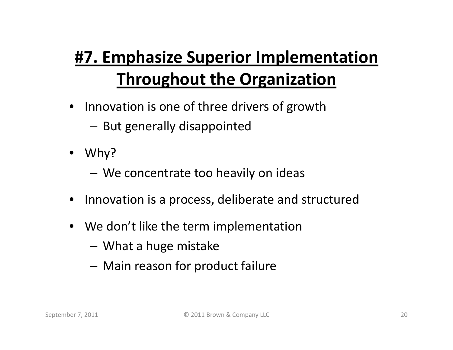# **#7. Emphasize Superior Implementation Throughout the Organization**

- Innovation is one of three drivers of growth
	- $-$  But generally disappointed
- Why?
	- –We concentrate too heavily on ideas
- •Innovation is a process, deliberate and structured
- We don't like the term implementation
	- What a huge mistake
	- –Main reason for product failure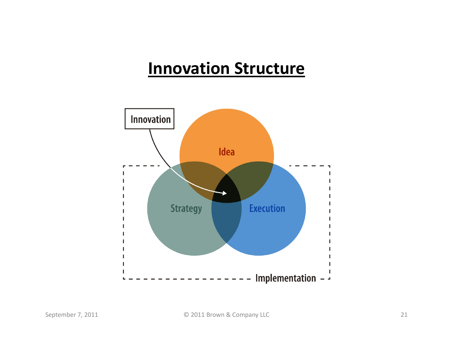#### **Innovation Structure**

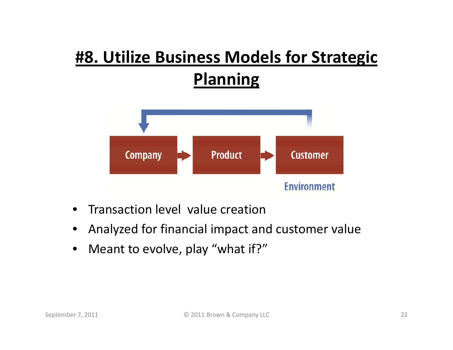## **#8. Utilize Business Models for Strategic Planning**



- $\bullet$ Transaction level value creation
- •Analyzed for financial impact and customer value
- $\bullet$ Meant to evolve, play "what if?"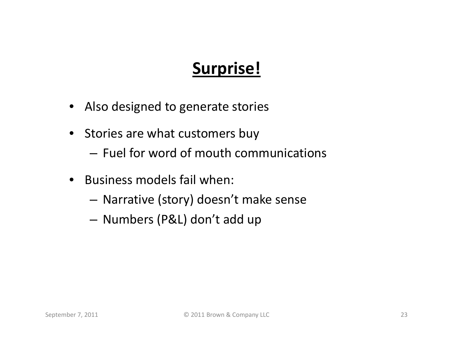## **Surprise!**

- Also designed to generate stories
- Stories are what customers buy
	- Fuel for word of mouth communications
- • Business models fail when:
	- Narrative (story) doesn't make sense
	- Numbers (P&L) don't add up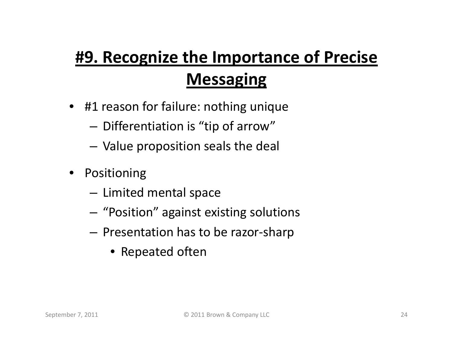# **#9. Recognize the Importance of Precise Messaging**

- #1 reason for failure: nothing unique
	- $-$  Differentiation is "tip of arrow"
	- Value proposition seals the deal
- $\bullet$  Positioning
	- – $-$  Limited mental space
	- – $-$  "Position" against existing solutions
	- $-$  Presentation has to be razor-sharp
		- Repeated often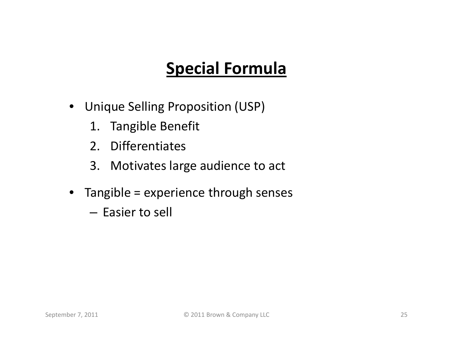## **Special Formula**

- Unique Selling Proposition (USP)
	- 1. Tangible Benefit
	- 2. Differentiates
	- 3. Motivates large audience to act
- Tangible = experience through senses
	- Easier to sell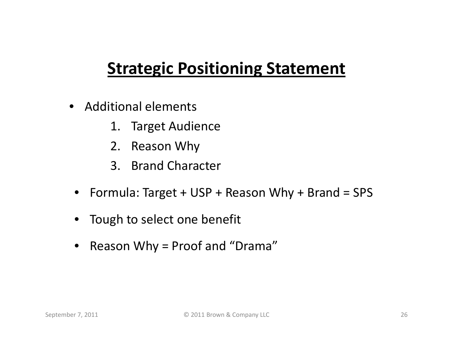### **Strategic Positioning Statement**

- Additional elements
	- 1. Target Audience
	- 2. Reason Why
	- 3. Brand Character
	- Formula: Target + USP + Reason Why + Brand = SPS
	- Tough to select one benefit
	- $\bullet$ Reason Why = Proof and "Drama"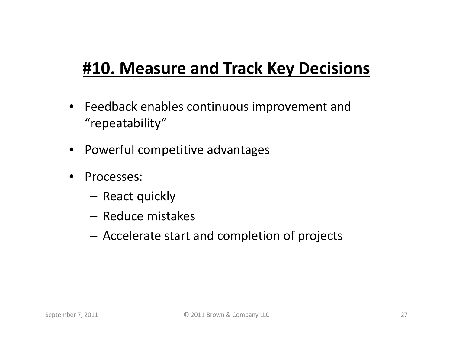### **#10. Measure and Track Key Decisions**

- Feedback enables continuous improvement and "repeatability"
- Powerful competitive advantages
- • Processes:
	- React quickly
	- Reduce mistakes
	- Accelerate start and completion of projects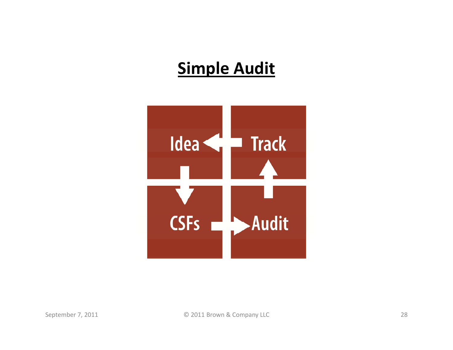### **Simple Audit**

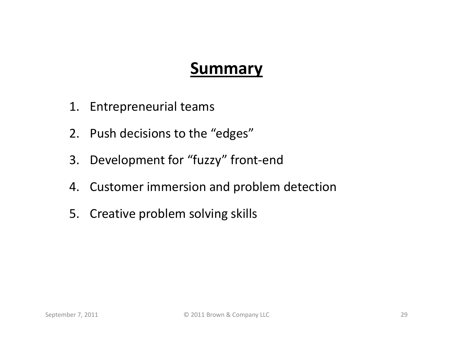#### **Summary**

- 1. Entrepreneurial teams
- 2. Push decisions to the "edges"
- 3. Development for "fuzzy" front-end
- 4. Customer immersion and problem detection
- 5. Creative problem solving skills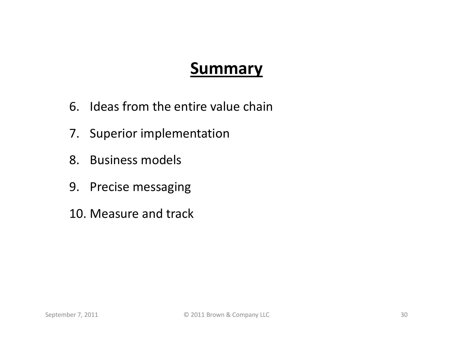#### **Summary**

- 6. Ideas from the entire value chain
- 7. Superior implementation
- 8. Business models
- 9. Precise messaging
- 10. Measure and track